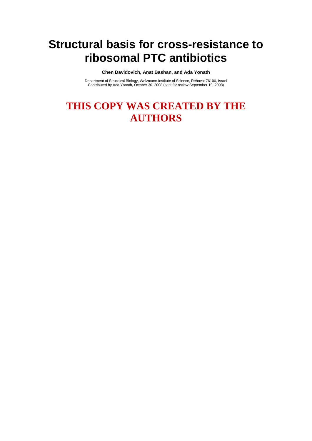# **Structural basis for cross-resistance to ribosomal PTC antibiotics**

**Chen Davidovich, Anat Bashan, and Ada Yonath**

Department of Structural Biology, Weizmann Institute of Science, Rehovot 76100, Israel Contributed by Ada Yonath, October 30, 2008 (sent for review September 19, 2008)

# **THIS COPY WAS CREATED BY THE AUTHORS**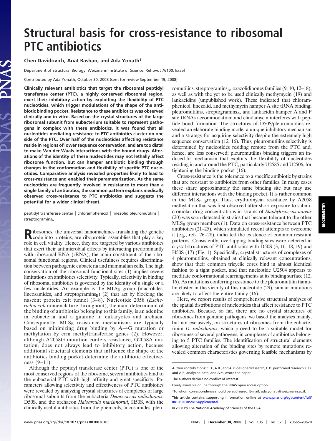# **Structural basis for cross-resistance to ribosomal PTC antibiotics**

### **Chen Davidovich, Anat Bashan, and Ada Yonath1**

Department of Structural Biology, Weizmann Institute of Science, Rehovot 76100, Israel

Contributed by Ada Yonath, October 30, 2008 (sent for review September 19, 2008)

**Clinically relevant antibiotics that target the ribosomal peptidyl transferase center (PTC), a highly conserved ribosomal region, exert their inhibitory action by exploiting the flexibility of PTC nucleotides, which trigger modulations of the shape of the antibiotic binding pocket. Resistance to these antibiotics was observed clinically and in vitro. Based on the crystal structures of the large ribosomal subunit from eubacterium suitable to represent pathogens in complex with these antibiotics, it was found that all nucleotides mediating resistance to PTC antibiotics cluster on one side of the PTC. Over half of the nucleotides affecting resistance reside in regions of lower sequence conservation, and are too distal to make Van der Waals interactions with the bound drugs. Alterations of the identity of these nucleotides may not lethally affect ribosome function, but can hamper antibiotic binding through changes in the conformation and flexibility of specific PTC nucleotides. Comparative analysis revealed properties likely to lead to cross-resistance and enabled their parameterization. As the same nucleotides are frequently involved in resistance to more than a single family of antibiotics, the common pattern explains medically observed cross-resistance to PTC antibiotics and suggests the potential for a wider clinical threat.**

peptidyl transferase center  $|$  chloramphenicol  $|$  linezolid pleuromutilins  $|$ streptograminsA

Ribosomes, the universal nanomachines translating the genetic<br>code into proteins, are riboprotein assemblies that play a key role in cell vitality. Hence, they are targeted by various antibiotics that exert their antimicrobial effects by interacting predominantly with ribosomal RNA (rRNA), the main constituent of the ribosomal functional regions. Clinical usefulness requires discrimination between pathogenic eubacteria and mammalian cells. The high conservation of the ribosomal functional sites (1) implies severe limitations on antibiotics selectivity. Typically, selectivity in binding of ribosomal antibiotics is governed by the identity of a single or a few nucleotides. An example is the  $MLS_B$  group (macrolides, lincosamides, and streptogramins $_B$ ) (2) that act by blocking the nascent protein exit tunnel (3–8). Nucleotide 2058 (*Escherichia coli* nomenclature throughout), the main determinant of the binding of antibiotics belonging to this family, is an adenine in eubacteria and a guanine in eukaryotes and archaea. Consequently,  $MLS_B$  resistance mechanisms are typically based on minimizing drug binding by  $A\rightarrow G$  mutation or methylation by erm methyltransferase genes (2). However, although A2058G mutation confers resistance, G2058A mutation, does not always lead to inhibitory action, because additional structural elements that influence the shape of the antibiotics binding pocket determine the antibiotic effectiveness  $(9-11)$ .

Although the peptidyl transferase center (PTC) is one of the most conserved regions of the ribosome, several antibiotics bind to the eubacterial PTC with high affinity and great specificity. Parameters allowing selectivity and effectiveness of PTC antibiotics were revealed by analyzing crystal structures of complexes of large ribosomal subunits from the eubacteria *Deinococcus radiodurans*, D50S, and the archaeon *Haloarcula marismortui*, H50S, with the clinically useful antibiotics from the phenicols, lincosamides, pleuromutilins, streptogramins $_A$ , oxazolidinones families (9, 10, 12–18), as well as with the yet to be used clinically methymycin (19) and lankacidins (unpublished work). These indicated that chloramphenicol, linezolid, and methymycin hamper A site tRNA binding; pleuromutilins, streptogramins<sub>A</sub>, and lankacidin hamper A and P site tRNAs accommodation; and clindamycin interferes with peptide bond formation. The structures of D50S/pleuromutilins revealed an elaborate binding mode, a unique inhibitory mechanism and a strategy for acquiring selectivity despite the extremely high sequence conservation (12, 16). Thus, pleuromutilins selectivity is determined by nucleotides residing remote from the PTC and, hence, are less conserved; pleuromutilins binding triggers an induced-fit mechanism that exploits the flexibility of nucleotides residing in and around the PTC, particularly U2585 and U2506, for tightening the binding pocket (16).

Cross-resistance is the tolerance to a specific antibiotic by strains that are resistant to antibiotics from other families. In many cases these share approximately the same binding site but may use different interactions with the binding pocket. It is rather common in the  $MLS<sub>B</sub>$  group. Thus, erythromycin resistance by A2058 methylation that was first observed after short exposure to submicromolar drug concentrations in strains of *Staphylococcus aureus* (20) was soon detected in strains that became tolerant to the other  $MLS<sub>B</sub>$  group members (1). Data on cross-resistance between PTC antibiotics (21–25), which stimulated recent attempts to overcome it (e.g., refs. 26–28), indicated the existence of common resistant patterns. Consistently, overlapping binding sites were detected in crystal structures of PTC antibiotics with D50S (3, 16, 18, 19) and H50S (17) (Fig. 1). Specifically, crystal structures of complexes of 4 pleuromutilins, obtained at clinically relevant concentrations, show that their common tricyclic cores bind in almost identical fashion to a tight pocket, and that nucleotide U2504 appears to meditate conformational rearrangements at its binding surface (12, 16). As mutations conferring resistance to the pleuromutilin tiamulin cluster in the vicinity of this nucleotide (29), similar mutations are likely to affect the entire family (16).

Here, we report results of comprehensive structural analyses of the spatial distributions of nucleotides that affect resistance to PTC antibiotics. Because, so far, there are no crystal structures of ribosomes from genuine pathogens, we based the analyses mainly, but not exclusively, on structures of ribosomes from the eubacteriuim *D. radiodurans*, which proved to be a suitable model for ribosomes of several pathogens, in complexes of antibiotics belonging to 5 PTC families. The identification of structural elements allowing alteration of the binding sites by remote mutations revealed common characteristics governing feasible mechanisms by

**BIOCHEMISTRY BIOCHEMISTRY**

Author contributions: C.D., A.B., and A.Y. designed research; C.D. performed research; C.D. and A.B. analyzed data; and A.Y. wrote the paper.

The authors declare no conflict of interest.

Freely available online through the PNAS open access option.

<sup>1</sup>To whom correspondence should be addressed. E-mail: ada.yonath@weizmann.ac.il.

This article contains supporting information online at [www.pnas.org/cgi/content/full/](http://www.pnas.org/cgi/content/full/0810826105/DCSupplemental) [0810826105/DCSupplemental.](http://www.pnas.org/cgi/content/full/0810826105/DCSupplemental)

<sup>© 2008</sup> by The National Academy of Sciences of the USA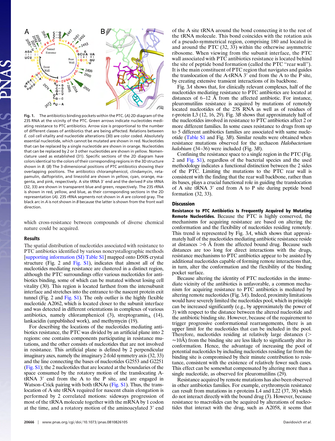

**Fig. 1.** The antibiotics binding pockets within the PTC. (*A*) 2D diagram of the 23S RNA at the vicinity of the PTC. Green arrows indicate nucleotides mediating resistance to PTC antibiotics. Arrow size is proportional to the number of different classes of antibiotics that are being affected. Relations between *E. coli* cell vitality and nucleotide alterations (30) are color coded. Absolutely essential nucleotide, which cannot be mutated are shown in red. Nucleotides that can be replaced by a single nucleotide are shown in orange. Nucleotides that can be replaced by 2 or 3 other nucleotides are shown in yellow. Nomenclature used as established (31). Specific sections of the 2D diagram have colors identical to the colors of their corresponding regions in the 3D structure shown in *B*. (*B*) The 3-dimensional positions of PTC antibiotics showing their overlapping positions. The antibiotics chloramphenicol, clindamycin, retapamulin, dalfopristin, and linezolid are shown in yellow, cyan, orange, magenta, and pink, respectively. A site tRNA 3' end and the derived P site tRNA (32, 33) are shown in transparent blue and green, respectively. The 23S rRNA is shown in red, yellow, and blue, as their corresponding sections in the 2D representation (*A*). 23S rRNA segments not shown in *A* are colored gray. The black arc in *A* is not shown in *B* because the latter is shown from the front wall direction.

which cross-resistance between compounds of diverse chemical nature could be acquired.

### **Results**

The spatial distribution of nucleotides associated with resistance to PTC antibiotics identified by various noncrystallographic methods [\[supporting information \(SI\) Table S1\]](http://www.pnas.org/cgi/data/0810826105/DCSupplemental/Supplemental_PDF#nameddest=ST1) mapped onto D50S crystal structure (Fig. 2 and [Fig. S1\)](http://www.pnas.org/cgi/data/0810826105/DCSupplemental/Supplemental_PDF#nameddest=SF1), indicates that almost all of the nucleotides mediating resistance are clustered in a distinct region, although the PTC surroundings offer various nucleotides for antibiotics binding, some of which can be mutated without losing cell vitality (30). This region is located farthest from the intersubunit interface and stretches into the entrance to the nascent protein exit tunnel (Fig. 2 and Fig.  $S1$ ). The only outlier is the highly flexible nucleotide A2062, which is located closer to the subunit interface and was detected in different orientations in complexes of various antibiotics, namely chloramphenicol  $(3)$ , streptogramin<sub>A</sub>  $(14)$ , lankacidin (unpublished work), and methymycin (19).

For describing the locations of the nucleotides mediating antibiotics resistance, the PTC was divided by an artificial plane into 2 regions: one contains components participating in resistance mutations, and the other consists of nucleotides that are not involved in resistance. This artificial plane is defined by 2 perpendicular imaginary axes, namely the imaginary 2-fold symmetry axis (32, 33) and the line connecting the bases of nucleotides G2553 and G2251 [\(Fig. S1\)](http://www.pnas.org/cgi/data/0810826105/DCSupplemental/Supplemental_PDF#nameddest=SF1); the 2 nucleotides that are located at the boundaries of the space consumed by the rotatory motion of the translocating A $tRNA$  3' end from the A to the P site, and are engaged in Watson–Crick pairing with both tRNAs [\(Fig. S1\)](http://www.pnas.org/cgi/data/0810826105/DCSupplemental/Supplemental_PDF#nameddest=SF1). Thus, the translocation of A site tRNA required for nascent chain elongation is performed by 2 correlated motions: sideways progression of most of the tRNA molecule together with the mRNA by 1 codon at the time, and a rotatory motion of the aminoacylated 3' end of the A site tRNA around the bond connecting it to the rest of the tRNA molecule. This bond coincides with the rotation axis of a pseudo-symmetrical region, comprising 180 and located in and around the PTC (32, 33) within the otherwise asymmetric ribosome. When viewing from the subunit interface, the PTC wall associated with PTC antibiotics resistance is located behind the site of peptide bond formation (called the PTC ''rear wall''). It is the main constituent of PTC region that navigates and guides the translocation of the A-tRNA  $3'$  end from the A to the P site, by creating extensive transient interactions of its backbone.

Fig. 3*A* shows that, for clinically relevant complexes, half of the nucleotides mediating resistance to PTC antibiotics are located at distances of 6–12 Å from the affected antibiotic. For instance, pleuromutilins resistance is acquired by mutations of remotely located nucleotides of the 23S RNA as well as of residues of r-protein L3 (12, 16, 29). Fig. 3*B* shows that approximately half of the nucleotides involved in resistance to PTC antibiotics affect 2 or more different families. In some cases resistance to drugs from up to 5 different antibiotics families are associated with same nucleotide [\(Table S1](http://www.pnas.org/cgi/data/0810826105/DCSupplemental/Supplemental_PDF#nameddest=ST1) and Fig. 3*B*). Similar results were obtained when resistance mutations observed for the archaeon *Halobacterium halobium* (34–36) were included (Fig. 3*B*).

Confining the resistance space to a single region in the PTC (Fig. 2 and [Fig. S1\)](http://www.pnas.org/cgi/data/0810826105/DCSupplemental/Supplemental_PDF#nameddest=SF1), regardless of the bacterial species and the used methodology indicates a functional distinction between the 2 sides of the PTC. Limiting the mutations to the PTC rear wall is consistent with the finding that the rear wall backbone, rather than its bases, plays a crucial functional role in guiding the translocation of A site  $tRNA$  3' end from A to P site during peptide bond formation (32, 33).

#### **Discussion**

**Resistance to PTC Antibiotics Is Frequently Acquired by Mutating Remote Nucleotides.** Because the PTC is highly conserved, the mechanisms for acquiring resistance are based on altering the conformation and the flexibility of nucleotides residing remotely. This trend is represented by Fig. 3*A*, which shows that approximately half of the nucleotides mediating antibiotic resistance reside at distances -6 Å from the affected bound drug. Because such distances are too long for direct interactions with the drugs, resistance mechanisms to PTC antibiotics appear to be assisted by additional nucleotides capable of forming remote interactions that, in turn, alter the conformation and the flexibility of the binding pocket surface.

Because altering the identity of PTC nucleotides in the immediate vicinity of the antibiotics is unfavorable, a common mechanism for acquiring resistance to PTC antibiotics is mediated by altering remote nucleotides (Fig. 3*A*). Indeed, proximity limitations would have severely limited the nucleotides pool, which in principle can be increased significantly (e.g., by approximately the power of 3) with respect to the distance between the altered nucleotide and the antibiotic binding site. However, because of the requirement to trigger progressive conformational rearrangements, there is an upper limit for the nucleotides that can be included in the pool. Therefore, nucleotides residing at relatively large distances  $($  $\approx$ 10Å) from the binding site are less likely to significantly alter its conformation. Hence, the advantage of increasing the pool of potential nucleotides by including nucleotides residing far from the binding site is compromised by their minute contribution to resistance, consistent with the existence of relatively fewer such cases. This effect can be somewhat compensated by altering more than a single nucleotide, as observed for pleuromutilins (29).

Resistance acquired by remote mutations has also been observed in other antibiotics families. For example, erythromycin resistance can result from mutations in r-proteins L4 and L22 (37, 38) which do not interact directly with the bound drug (3). However, because resistance to macrolides can be acquired by alterations of nucleotides that interact with the drug, such as A2058, it seems that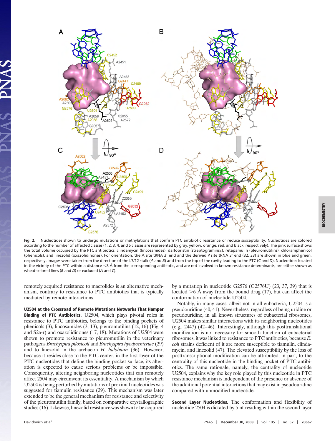

**Fig. 2.** Nucleotides shown to undergo mutations or methylations that confirm PTC antibiotic resistance or reduce susceptibility. Nucleotides are colored according to the number of affected classes (1, 2, 3, 4, and 5 classes are represented by gray, yellow, orange, red, and black, respectively). The pink surface shows the total volume occupied by the PTC antibiotics: clindamycin (lincosamides), dalfopristin (streptogramins<sub>A</sub>), retapamulin (pleuromutilins), chloramphenicol (phenicols), and linezolid (oxazolidinones). For orientation, the A site tRNA 3' end and the derived P site tRNA 3' end (32, 33) are shown in blue and green, respectively. Images were taken from the direction of the L7/12 stalk (*A* and *B*) and from the top of the cavity leading to the PTC (*C* and *D*). Nucleotides located in the vicinity of the PTC within a distance <8 Å from the corresponding antibiotic, and are not involved in known resistance determinants, are either shown as wheat-colored lines (*B* and *D*) or excluded (*A* and *C*).

remotely acquired resistance to macrolides is an alternative mechanism, contrary to resistance to PTC antibiotics that is typically mediated by remote interactions.

**U2504 at the Crossroad of Remote Mutations Networks That Hamper Binding of PTC Antibiotics.** U2504, which plays pivotal roles in resistance to PTC antibiotics, belongs to the binding pockets of phenicols (3), lincosamides (3, 13), pleuromutilins (12, 16) (Fig. 4 and S2a-r) and oxazolidinones (17, 18). Mutations of U2504 were shown to promote resistance to pleuromutilin in the veterinary pathogens *Brachyspira pilosicoli* and *Brachyspira hyodysenteriae* (29) and to linezolid in the archaeon *H. halobium* (36). However, because it resides close to the PTC center, in the first layer of the PTC nucleotides that define the binding pocket surface, its alteration is expected to cause serious problems or be impossible. Consequently, altering neighboring nucleotides that can remotely affect 2504 may circumvent its essentiality. A mechanism by which U2504 is being perturbed by mutations of proximal nucleotides was suggested for tiamulin resistance (29). This mechanism was later extended to be the general mechanism for resistance and selectivity of the pleuromutilin family, based on comparative crystallographic studies (16). Likewise, linezolid resistance was shown to be acquired by a mutation in nucleotide G2576 (G2576U) (23, 37, 39) that is located  $>6$  Å away from the bound drug (17), but can affect the conformation of nucleotide U2504.

Notably, in many cases, albeit not in all eubacteria, U2504 is a pseudouridine (40, 41). Nevertheless, regardless of being uridine or pseudouridine, in all known structures of eubacterial ribosomes, U2504 makes similar interactions with its neighboring nucleotides (e.g., 2447) (42–46). Interestingly, although this posttranslational modification is not necessary for smooth function of eubacterial ribosomes, it was linked to resistance to PTC antibiotics, because *E. coli* strains deficient of it are more susceptible to tiamulin, clindamycin, and linezolid (47). The elevated susceptibility by the loss of posttranscriptional modification can be attributed, in part, to the centrality of this nucleotide in the binding pocket of PTC antibiotics. The same rationale, namely, the centrality of nucleotide U2504, explains why the key role played by this nucleotide in PTC resistance mechanism is independent of the presence or absence of the additional potential interactions that may exist in pseudouridine compared with unmodified nucleotide.

**Second Layer Nucleotides.** The conformation and flexibility of nucleotide 2504 is dictated by 5 nt residing within the second layer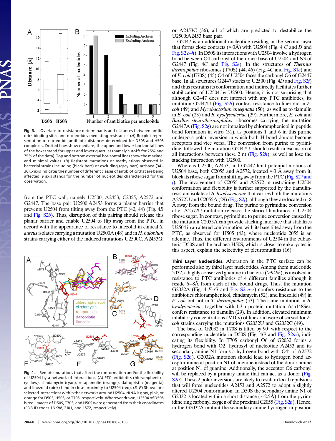

**Fig. 3.** Overlaps of resistance determinants and distances between antibiotics binding sites and nucleotides mediating resistance. (*A*) Boxplot representation of nucleotide-antibiotic distances determined for D50S and H50S complexes. Dotted lines show medians; the upper and lower horizontal lines of the boxes stand for upper and lower quartiles (namely cutoffs for 25% and 75% of the data). Top and bottom external horizontal lines show the maximal and minimal values. (*B*) Resistant mutations or methylations observed in bacterial strains including (black bars) or excluding (gray bars) archaea (34 – 36). *x* axis indicates the number of different classes of antibiotics that are being affected. *y* axis stands for the number of nucleotides characterized for this observation.

from the PTC wall, namely U2500, A2453, C2055, A2572 and G2447. The base pair U2500:A2453 forms a planar barrier that prevents U2504 from tilting away from the PTC (42, 44) (Fig. 4*B* and [Fig. S2](http://www.pnas.org/cgi/data/0810826105/DCSupplemental/Supplemental_PDF#nameddest=SF2)*b*). Thus, disruption of this pairing should release this planar barrier and enable U2504 to flip away from the PTC, in accord with the appearance of resistance to linezolid in clinical *S. aureus*isolates carrying a mutation U2500A (48) and in *H. halobium* strains carrying either of the induced mutations U2500C, A2453G,



**Fig. 4.** Remote mutations that affect the conformation and/or the flexibility of U2504 by a network of interactions. (*A*) PTC antibiotics chloramphenicol (yellow), clindamycin (cyan), retapamulin (orange), dalfopristin (magenta) and linezolid (pink) bind in close proximity to U2504 (red). (*B–G*) Shown are selected interactions within the networks around U2504. rRNA is gray, pink, or orange for D50S, H50S, or T70S, respectively. Wherever drawn, U2504 of D50S is red. Images of D50S, T70S, and H50S were generated from their coordinates (PDB ID codes 1NKW, 2J01, and 1S72, respectively).

**<sup>20668</sup>** www.pnas.org-cgi-doi-10.1073-pnas.0810826105 Davidovich *et al.*

or A2453C (36), all of which are predicted to destabilize the U2500:A2453 base pair.

G2447 is an additional nucleotide residing in the second layer that forms close contacts ( $\approx$ 3Å) with U2504 (Fig. 4 *C* and *D* and [Fig. S2](http://www.pnas.org/cgi/data/0810826105/DCSupplemental/Supplemental_PDF#nameddest=SF2) *c*–*h*). In D50S its interactions with U2504 involve a hydrogen bond between O4 carbonyl of the uracil base of U2504 and N3 of G2447 (Fig. 4*C* and [Fig. S2](http://www.pnas.org/cgi/data/0810826105/DCSupplemental/Supplemental_PDF#nameddest=SF2)*e*). In the structures of *Thermus thermophilus* ribosomes (T70S) (44, 46) (Fig. 4*C* and [Fig. S1](http://www.pnas.org/cgi/data/0810826105/DCSupplemental/Supplemental_PDF#nameddest=SF1)*e*) and of *E. coli* (E70S) (45) O4 of U2504 faces the carbonyl O6 of G2447 base. In all structures G2447 stacks to U2500 (Fig. 4*D* and [Fig. S2](http://www.pnas.org/cgi/data/0810826105/DCSupplemental/Supplemental_PDF#nameddest=SF2)*f*) and thus restrains its conformation and indirectly facilitates further stabilization of U2504 by U2500. Hence, it is not surprising that although G2447 does not interact with any PTC antibiotics, its mutation G2447U [\(Fig. S2](http://www.pnas.org/cgi/data/0810826105/DCSupplemental/Supplemental_PDF#nameddest=SF2)*h*) confers resistance to linezolid in *E. coli* (49) and *Mycobacterium smegmatis* (50), as well as to tiamulin in *E. coli* (23) and *B. hyodysenteriae* (29). Furthermore, *E. coli* and *Bacillus stearothermophilus* ribosomes carrying the mutation G2447A (Fig. S<sub>2g</sub>) are not impaired by chloramphenicol in peptide bond formation in vitro (51), as positions 1 and 6 in this purine undergo a polar inversion in which both H bond donors become acceptors and vice versa. The conversion from purine to pyrimidine, followed the mutation G2447U, should result in exclusion of all interactions between these 2 nt [\(Fig. S2](http://www.pnas.org/cgi/data/0810826105/DCSupplemental/Supplemental_PDF#nameddest=SF2)*h*), as well as lose the stacking interaction with U2500.

Whereas U2500, A2453, and G2447 limit potential motions of U2504 base, both C2055 and A2572, located  $\approx$ 3 Å away from it, block its ribose sugar from shifting away from the PTC [\(Fig. S2](http://www.pnas.org/cgi/data/0810826105/DCSupplemental/Supplemental_PDF#nameddest=SF2) *i* and *[j](http://www.pnas.org/cgi/data/0810826105/DCSupplemental/Supplemental_PDF#nameddest=SF2)*). The involvement of C2055 and A2572 in restraining U2504 conformation and flexibility is further supported by the tiamulinresistant isolate of *B. hyodysenteriae* that carries both the mutations A2572U and C2055A (29) [\(Fig. S2](http://www.pnas.org/cgi/data/0810826105/DCSupplemental/Supplemental_PDF#nameddest=SF2)*j*), although they are located 6–8 Å away from the bound drug. The purine to pyrimidine conversion after A2572U mutation releases the sterical hindrance of U2504 ribose sugar. In contrast, pyrimidine to purine conversion caused by the mutation C2055A can provide stacking interface that stabilizes U2504 in an altered conformation, with its base tilted away from the PTC, as observed for H50S (43), where nucleotide 2055 is an adenine. Thus, the different environments of U2504 in the eubacteria D50S and the archaea H50S, which is closer to eukaryotes in this aspect, explain the selectivity of pleuromutilins (16).

**Third Layer Nucleotides.** Alteration in the PTC surface can be performed also by third layer nucleotides. Among them nucleotide 2032, a highly conserved guanine in bacteria (>94%), is involved in resistance to PTC antibiotics of 4 different families although it reside 6–8Å from each of the bound drugs. Thus, the mutation G2032A (Fig. 4 *E*–*G* and [Fig. S2](http://www.pnas.org/cgi/data/0810826105/DCSupplemental/Supplemental_PDF#nameddest=SF2) *n*–*r*) confers resistance to the antibiotics chloramphenicol, clindamycin (52), and linezolid (49) in *E. coli* but not in *T. thermophilus* (53). The same mutation in *B. hyodysenteriae*, together with L3 r-protein mutation Asn148Ser, confers resistance to tiamulin (29). In addition, elevated minimum inhibitory concentrations (MICs) of linezolid were observed for *E. coli* strains carrying the mutations G2032U and G2032C (49).

The base of G2032 in T70S is tilted by 90° with respect to the corresponding nucleotide in D50S (Fig. 4*G* and [Fig. S2](http://www.pnas.org/cgi/data/0810826105/DCSupplemental/Supplemental_PDF#nameddest=SF2)*m*), indicating its flexibility. In T70S carbonyl O6 of G2032 forms a hydrogen bond with O2' hydroxyl of nucleotide A2453 and its secondary amine N1 forms a hydrogen bond with O4' of A2572 (Fig.  $S2n$ ). G2032A mutation should lead to hydrogen bond acceptor imine at position N1 of adenine instead of the donor amine at position N1 of guanine. Additionally, the acceptor O6 carbonyl will be replaced by a primary amine that can act as a donor [\(Fig.](http://www.pnas.org/cgi/data/0810826105/DCSupplemental/Supplemental_PDF#nameddest=SF2) [S2](http://www.pnas.org/cgi/data/0810826105/DCSupplemental/Supplemental_PDF#nameddest=SF2)*o*). These 2 polar inversions are likely to result in local repulsions that will force nucleotides A2453 and A2572 to adopt a slightly altered U2504 conformation. In D50S the secondary amine N1 of G2032 is located within a short distance ( $\approx$ 2.5Å) from the pyrimidine ring carbonyl oxygen of the proximal C2055 [\(Fig. S2](http://www.pnas.org/cgi/data/0810826105/DCSupplemental/Supplemental_PDF#nameddest=SF2)*p*). Hence, in the G2032A mutant the secondary amine hydrogen in position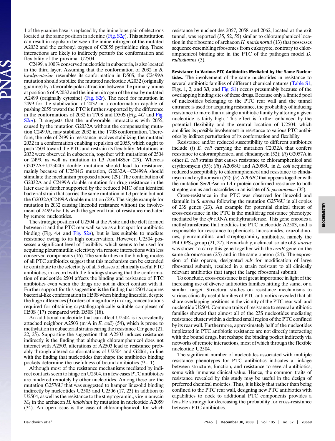1 of the guanine base is replaced by the imine lone pair of electrons located at the same position in adenine [\(Fig. S2](http://www.pnas.org/cgi/data/0810826105/DCSupplemental/Supplemental_PDF#nameddest=SF2)*q*). This substitution can result in repulsion between the imine nitrogen of the mutated A2032 and the carbonyl oxygen of C2055 pyrimidine ring. These interactions are likely to indirectly perturb the conformation and flexibility of the proximal U2504.

C2499, a 100% conserved nucleotide in eubacteria, is also located in the third layer. Assuming that the conformation of 2032 in *B. hyodysenteriae* resembles its conformation in D50S, the C2499A mutation should stabilize the mutated nucleotide A2032 (originally guanine) by a favorable polar attraction between the primary amine at position 6 of A2032 and the imine nitrogen of the nearby mutated A2499 (originally cytosine) [\(Fig. S2](http://www.pnas.org/cgi/data/0810826105/DCSupplemental/Supplemental_PDF#nameddest=SF2)r). The need for mutation in 2499 for the stabilization of 2032 in a conformation capable of pushing 2055 toward the PTC is further supported by the difference in the conformations of 2032 in T70S and D50S (Fig. 4*G* and [Fig.](http://www.pnas.org/cgi/data/0810826105/DCSupplemental/Supplemental_PDF#nameddest=SF2) S<sub>2</sub>*m*). It suggests that the unfavorable interactions with 2055, caused by the mutation G2032A without the compensating mutation C2499A, may stabilize 2032 in the T70S conformation. Therefore, the role of 2499 in resistance involves stabilizing the mutated 2032 in a conformation enabling repulsion of 2055, which ought to push 2504 toward the PTC and restrain its flexibility. Mutations in 2032 were observed in eubacteria, together with mutations of 2504 or 2499, as well as mutation in L3 Asn148Ser (29). Whereas  $G2032A+U2504G$  double mutation should lead to resistance, mainly because of U2504G mutation,  $G2032A+C2499A$  should stimulate the mechanism proposed above (29). The contribution of G2032A and C2499A double mutation for drug resistance in the later case is further supported by the reduced MIC of an identical bacterial strain that carries the same mutation in L3 protein but not the G2032A/C2499A double mutation (29). The single example for mutation in 2032 causing linezolid resistance without the involvement of 2499 also fits with the general trait of resistance mediated by remote nucleotides.

The strategic position of U2504 at the A site and the cleft formed between it and the PTC rear wall serve as a hot spot for antibiotic binding (Fig. 4*A* and [Fig. S2](http://www.pnas.org/cgi/data/0810826105/DCSupplemental/Supplemental_PDF#nameddest=SF2)*a*), but is less suitable to mediate resistance owing to its high conservation. However, U2504 possesses a significant level of flexibility, which seems to be used for acquiring pleuromutilin selectivity via remote interactions with less conserved components (16). The similarities in the binding modes of all PTC antibiotics suggest that this mechanism can be extended to contribute to the selectivity of all 5 classes of clinically useful PTC antibiotics, in accord with the findings showing that the conformation of nucleotide 2504 affects the binding and resistance of PTC antibiotics even when the drugs are not in direct contact with it. Further support for this suggestion is the finding that 2504 acquires bacterial-like conformation in H50S when binding linezolid, despite the huge differences (3 orders of magnitude) in drug concentrations required for obtaining crystallographically suitable complexes of H50S (17) compared with D50S (18).

An additional nucleotide that can affect U2504 is its covalently attached neighbor  $A2503$  (m<sup>2</sup>A in *E. coli*) (54), which is prone to methylation in eubacterial strains caring the resistance Cfr gene (21, 22, 25). Supporting the suggestion that A2503 induces resistance indirectly is the finding that although chloramphenicol does not interact with A2503, alterations of A2503 lead to resistance probably through altered conformations of U2504 and G2061, in line with the finding that nucleotides that shape the antibiotics binding pockets determine the usefulness of bound antibiotics (9–11).

Although most of the resistance mechanisms mediated by indirect contacts seem to hinge on U2504, in a few cases PTC antibiotics are hindered remotely by other nucleotides. Among these are the mutation G2576U that was suggested to hamper linezolid binding indirectly by nucleotides U2505 and U2506 (17, 23) in addition to U2504, as well as the resistance to the streptogramin<sub>A</sub> virginiamycin  $M<sub>1</sub>$  in the archaeon *H. halobium* by mutation in nucleotide A2059 (34). An open issue is the case of chloramphenicol, for which resistance by nucleotides 2057, 2058, and 2062, located at the exit tunnel, was reported (35, 52, 55) similar to chloramphenicol location in the ribosome of archaeon *H. marismortui* (13) that possesses sequence-resembling ribosomes from eukaryote, contrary to chloramphenicol binding site in the PTC of the pathogen model *D. radiodurans* (3).

**Resistance to Various PTC Antibiotics Mediated by the Same Nucleotides.** The involvement of the same nucleotides in resistance to several antibiotic families of different chemical natures [\(Table S1,](http://www.pnas.org/cgi/data/0810826105/DCSupplemental/Supplemental_PDF#nameddest=ST1) Figs. 1, 2, and 3*B*, and [Fig. S1\)](http://www.pnas.org/cgi/data/0810826105/DCSupplemental/Supplemental_PDF#nameddest=SF1) occurs presumably because of the overlapping binding sites of these drugs. Because only a limited pool of nucleotides belonging to the PTC rear wall and the tunnel entrance is used for acquiring resistance, the probability of inducing resistance to more than a single antibiotic family by altering a given nucleotide is fairly high. This effect is further enhanced by the potential flexibility and the central location of U2504, which amplifies its possible involvement in resistance to various PTC antibiotics by indirect perturbation of its conformation and flexibility.

Resistance and/or reduced susceptibility to different antibiotics include (*i*) *E. coli* carrying the mutation C2032A that confers resistance to chloramphenicol and clindamycin (52); (*ii*) G2057A in other *E. coli* strains that causes resistance to chloramphenicol and erythromycin (55); (*iii*) A2058G and A2058U in *E. coli* acquiring reduced susceptibility to chloramphenicol and resistance to clindamycin and erythromycin (52); (*iv*) A2062C that appears together with the mutation Ser20Asn in L4 r-protein confirmed resistance to both streptogramins and macrolides in an isolate of *S. pneumoniae* (35).

Cross-resistance in the PTC was observed for linezolid and tiamulin in *S. aureus* following the mutation G2576U in all copies of 23S genes (23). An example for potential clinical threat of cross-resistance in the PTC is the multidrug resistance phenotype mediated by the *cfr* rRNA methyltransferase. This gene encodes a methyltransferase that modifies the PTC nucleotide A2503, and is responsible for resistance to phenicols, lincosamides, oxazolidinones, pleuromutilins, and streptogramin<sub>A</sub> antibiotics, namely the PhLOPSA group (21, 22). Remarkably, a clinical isolate of *S. aureus* was shown to carry this gene together with the *ermB* gene on the same chromosome (25) and in the same operon (24). The expression of this operon, designated *mlr* for modification of large ribosomal subunit, resulted in a strain resistant to all clinically relevant antibiotics that target the large ribosomal subunit.

To conclude, cross-resistance is of great importance in light of the increasing use of diverse antibiotics families hitting the same, or a similar, target. Structural studies on resistance mechanisms to various clinically useful families of PTC antibiotics revealed that all share overlapping positions in the vicinity of the PTC rear wall and nucleotide U2504. Common traits of resistance to several antibiotic families showed that almost all of the 23S nucleotides mediating resistance cluster within a defined small region of the PTC confined by its rear wall. Furthermore, approximately half of the nucleotides implicated in PTC antibiotic resistance are not directly interacting with the bound drugs, but reshape the binding pocket indirectly via networks of remote interactions, most of which through the flexible nucleotide U2504.

The significant number of nucleotides associated with multiple resistance phenotypes for PTC antibiotics indicates a linkage between structure, function, and resistance to several antibiotics, some with immense clinical value. Hence, the common traits of resistance revealed by this study may be useful in the design of preferred chemical moieties. Thus, it is likely that rather than being confined to the PTC rear wall, designing new PTC antibiotics with capabilities to dock to additional PTC components provides a feasible strategy for decreasing the probability for cross-resistance between PTC antibiotics.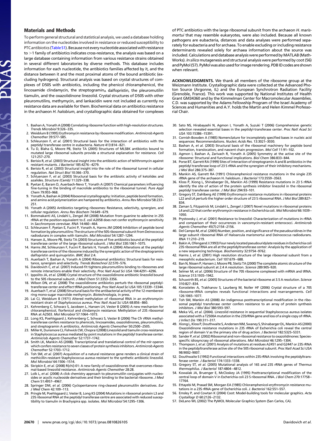### **Materials and Methods**

JAS

To perform general structural and statistical analysis, we used a database holding information on the nucleotides involved in resistance or reduced susceptibility to PTC antibiotics [\(Table S1\)](http://www.pnas.org/cgi/data/0810826105/DCSupplemental/Supplemental_PDF#nameddest=ST1). Because not every nucleotide associated with resistance to >1 family of antibiotics indicates cross-resistance, the analysis was based on a large database containing information from various resistance strains obtained in several different laboratories by diverse methods. This database includes information for each nucleotide, the antibiotics families affected by it, and the distance between it and the most proximal atoms of the bound antibiotic (excluding hydrogens). Structural analysis was based on crystal structures of complexes of D50S with antibiotics, including the phenicol chloramphenicol, the lincosamide clindamycin, the streptogramin<sub>A</sub> dalfopristin, the pleuromutilin tiamulin, and the oxazolidinone linezolid. Crystal structures of D50S with other pleuromutilins, methymycin, and lankacidin were not included as currently no resistance data are available for them. Biochemical data on antibiotics resistance in the archaeon *H. halobium*, and crystallographic data obtained for complexes

- 1. Bashan A, Yonath A (2008) Correlating ribosome function with high-resolution structures. *Trends Microbiol* 9:326 –335.
- 2. Weisblum B (1995) Erythromycin resistance by ribosome modification. *Antimicrob Agents Chemother* 39:577–585.
- 3. Schleunzen F, *et al.* (2001) Structural basis for the interaction of antibiotics with the peptidyl transferase centre in eubacteria. *Nature* 413:814 –821.
- 4. Tu D, Blaha G, Moore PB, Steitz TA (2005) Structures of MLSBK antibiotics bound to mutated large ribosomal subunits provide a structural explanation for resistance. *Cell* 121:257–270.
- 5. Berisio R, *et al.* (2003) Structural insight into the antibiotic action of telithromycin against resistant mutants. *J Bacteriol* 185:4276 –4279.
- 6. Berisio R, *et al.* (2003) Structural insight into the role of the ribosomal tunnel in cellular regulation. *Nat Struct Biol* 10:366 –370.
- 7. Schluenzen F, *et al.* (2003) Structural basis for the antibiotic activity of ketolides and azalides. *Structure (Camb)* 11:329 –338. 8. Pyetan E, Baram D, Auerbach-Nevo T, Yonath A (2007) Chemical parameters influencing
- fine-tuning in the binding of macrolide antibiotics to the ribosomal tunnel. *Pure Appl Chem* 79:955–968.
- 9. Yonath A, Bashan A (2004) Ribosomal crystallography: Initiation, peptide bond formation, and amino acid polymerization are hampered by antibiotics. *Annu Rev Microbiol* 58:233– 251.
- 10. Yonath A (2005) Antibiotics targeting ribosomes: Resistance, selectivity, synergism, and cellular regulation. *Annu Rev Biochem* 74:649 –679.
- Bommakanti AS, Lindahl L, Zengel JM (2008) Mutation from guanine to adenine in 25S rRNA at the position equivalent to *E. coli* A2058 does not confer erythromycin sensitivity in *Sacchromyces cerevisae. RNA* 14:460 –464.
- Schleunzen F, Pyetan E, Fucini P, Yonath A, Harms JM (2004) Inhibition of peptide bond formation by pleuromutilins: The structure of the 50S ribosomal subunit from Deinococcus radiodurans in complex with tiamulin. *Mol Microbiol* 54:1287–1294.
- Hansen JL, Moore PB, Steitz TA (2003) Structures of five antibiotics bound at the peptidyl transferase center of the large ribosomal subunit. *J Mol Biol* 330:1061–1075.
- 14. Harms JM, Schleunzen F, Fucini P, Bartels H, Yonath A (2004) Alterations at the peptidyl transferase centre of the ribosome induced by the synergistic action of the streptogramins dalfopristin and quinupristin. *BMC Biol* 2:4.
- 15. Auerbach T, Bashan A, Yonath A (2004) Ribosomal antibiotics: Structural basis for resis-tance, synergism and selectivity. *Trends Biotechnol* 22:570 –576.
- 16. Davidovich C, *et al*. (2007) Induced-fit tightens pleuromutilins binding to ribosomes and remote interactions enable their selectivity. *Proc Natl Acad Sci USA* 104:4291–4296. 17. Ippolito JA, *et al.* (2008) Crystal structure of the oxazolidinone antibiotic linezolid bound
- the 50S ribosomal subunit. *J Med Chem* 51:3353-3356.
- 18. Wilson DN, *et al.* (2008) The oxazolidinone antibiotics perturb the ribosomal peptidyl-transferase center and effect tRNA positioning. *Proc Natl Acad Sci USA* 105:13339 –13344. 19. Auerbach T, *et al.*(2008) Structural basis for the antibacterial activity of the 12-membered-
- ring mono-sugar macrolide methymycin. *Biotechnologia*, in press. 20. Lai CJ, Weisblum B (1971) Altered methylation of ribosomal RNA in an erythromycin-
- resistant strain of *Staphylococcus aureus*. *Proc Natl Acad Sci USA* 68:856 –860.
- 21. Kehrenberg C, Schwarz S, Jacobsen L, Hansen LH, Vester B (2005) A new mechanism for chloramphenicol, florfenicol and clindamycin resistance: Methylation of 23S ribosomal RNA at A2503. *Mol Microbiol* 57:1064 –1073.
- 22. Long KS, Poehlsgaard J, Kehrenberg C, Schwarz S, Vester B (2006) The Cfr rRNA methyltransferase confers resistance to phenicols, lincosamides, oxazolidinones, pleuromutilins, and streptogramin A antibiotics. *Antimicrob Agents Chemother* 50:2500 –2505.
- 23. MillerK, Dunsmore CJ, Fishwick CW, ChopraI (2008) Linezolid and tiamulin cross-resistance in Staphylococcus aureus mediated by point mutations in the peptidyl transferase center. *Antimicrob Agents Chemother* 52:1737–1742.
- 24. Smith LK, Mankin AS (2008). Transcriptional and translational control of the mlr operon which confers resistance to seven classes of protein synthesisinhibitors.*Antimicrob Agents Chemother* 52:1703–1712.
- 25. Toh SM, *et al.* (2007) Acquisition of a natural resistance gene renders a clinical strain of methicillin-resistant Staphylococcus aureus resistant to the synthetic antibiotic linezolid. *Mol Microbiol* 64:1506 –1514.
- 26. Skripkin E, *et al.* (2008) R{chi}-01: A new family of oxazolidinones that overcomes ribosomal-based linezolid resistance. *Antimicrob Agents Chemother* 28:28.
- 27. Lolk L, *et al.* (2008) A click chemistry approach to pleuromutilin conjugates with nucleosides or acyclic nucleoside derivatives and their binding to the bacterial ribosome. *J Med Chem* 51:4957–4967.
- 28. Springer DM, *et al.* (2006) Cyclopentanone ring-cleaved pleuromutilin derivatives. *Eur J Med Chem* 42:109 –113.
- 29. Pringle M, Poehlsgaard J, Vester B, Long KS (2004) Mutations in ribosomal protein L3 and 23S ribosomal RNA at the peptidyl transferase centre are associated with reduced suscep-tibility to tiamulin in Brachyspira spp. isolates. *Mol Microbiol* 54:1295–1306.

of PTC antibiotics with the large ribosomal subunit from the archaeon *H. marismortui* that may resemble eukaryotes, were also included. Because all known pathogens are eubacteria, distances and data analyses were performed separately for eubacteria and for archaea. To enable excluding or including resistance determinants revealed solely for archaea information about the source was included. Calculations and database analysis were performed by MATLAB (Math-Works). *In silico* mutagenesis and structural analysis were performed by coot (56) and PyMol (57). PyMol was also used for image rendering. PDB ID codes are shown when relevant.

**ACKNOWLEDGMENTS.** We thank all members of the ribosome group at the Weizmann Institute. Crystallographic data were collected at the Advanced Photon Source (Argonne, IL) and the European Synchrotron Radiation Facility (Grenoble, France). This work was supported by National Institutes of Health Grant GM34360 and by the Kimmelman Center for Macromolecular Assemblies. C.D. was supported by the Adams Fellowship Program of the Israel Academy of Sciences and Humanities and A.Y. holds the Martin and Helen Kimmel Professorial Chair.

- 30. Sato NS, Hirabayashi N, Agmon I, Yonath A, Suzuki T (2006) Comprehensive genetic selection revealed essential bases in the peptidyl-transferase center. *Proc Natl Acad Sci USA* 103:15386 –15391.
- 31. Cornish-Bowden A (1985) Nomenclature for incompletely specified bases in nucleic acid sequences: Recommendations. *Nucleic Acids Res*. 13:3021–3030.
- 32. Bashan A, *et al.* (2003) Structural basis of the ribosomal machinery for peptide bond formation, translocation, and nascent chain progression. *Mol Cell* 11:91–102.
- 33. Agmon I, Bashan A, Zarivach R, Yonath A (2005) Symmetry at the active site of the ribosome: Structural and functional implications. *Biol Chem* 386:833–844. 34. Porse BT, Garrett RA (1999) Sites of interaction of streptogramin A and B antibiotics in the
- peptidyl transferase loop of 23 S rRNA and the synergism of their inhibitory mechanisms. *J Mol Biol* 286:375–387.
- 35. Mankin AS, Garrett RA (1991) Chloramphenicol resistance mutations in the single 23S rRNA gene of the archaeon H. halobium. *J Bacteriol* 173:3559 –3563.
- 36. Kloss P, Xiong L, Shinabarger DL, Mankin AS (1999) Resistance mutations in 23 S rRNA identify the site of action of the protein synthesis inhibitor linezolid in the ribosomal peptidyl transferase center. *J Mol Biol* 294:93–101. 37. Gregory ST, Dahlberg AE (1999) Erythromycin resistance mutations in ribosomal proteins
- L22 and L4 perturb the higher order structure of 23 S ribosomal RNA. *J Mol Biol* 289:827– 834.
- 38. Zaman S, Fitzpatrick M, Lindahl L, Zengel J (2007) Novel mutations in ribosomal proteins L4 and L22 that confer erythromycin resistance in Escherichia coli. *Mol Microbiol* 66:1039 – 1050.
- 39. Prystowsky J, *et al.* (2001) Resistance to linezolid: Characterization of mutations in rRNA and comparison of their occurrences in vancomycin-resistant enterococci. *Antimicrob Agents Chemother* 45(7):2154 –2156.
- 40. Del CampoM, *et al.*(2005) Number, position, and significance of the pseudouridines in the large subunit ribosomal RNA of Haloarcula marismortui and Deinococcus radiodura *RNA* 11:210 –219.
- 41. Bakin A, Ofengand J (1993) Four newlylocated pseudouridylate residuesin Escherichia coli 23S ribosomal RNA are all at the peptidyltransferase center: Analysis by the application of a new sequencing technique. *Biochemistry* 32:9754 –9762.
- 42. Harms J, *et al.* (2001) High resolution structure of the large ribosomal subunit from a mesophilic eubacterium. *Cell* 107:679 –688.
- 43. Ban N, Nissen P, Hansen J, Moore PB, Steitz TA (2000) The complete atomic structure of the large ribosomal subunit at 2.4 A resolution. *Science* 289:905–920.
- 44. Selmer M, *et al*. (2006) Structure of the 70S ribosome complexed with mRNA and tRNA. *Science* 313:1935–1942.
- 45. Schuwirth BS, *et al.* (2005) Structures of the bacterial ribosome at 3.5 A resolution. *Science* 310:827–834.
- 46. Korostelev A, Trakhanov S, Laurberg M, Noller HF (2006) Crystal structure of a 70S ribosome-tRNA complex reveals functional interactions and rearrangements. *Cell* 126:1065–1077.
- 47. Toh SM, Mankin AS (2008) An indigenous posttranscriptional modification in the ribosomal peptidyl transferase center confers resistance to an array of protein synthesis inhibitors. *J Mol Biol* 380:593–597.
- 48. Meka VG, *et al.* (2004). Linezolid resistance in sequential Staphylococcus aureus isolates associated with a T2500A mutation in the 23SrRNA gene and loss of a single copy of rRNA. *J Infect Dis* 190:311–317.
- 49. Xiong L, Kloss P, Douthwaite S, Andersen NM, Swaney S, Shinabarger DL, Mankin AS (2000) Oxazolidinone resistance mutations in 23S rRNA of Escherichia coli reveal the central region of domain V as the primary site of drug action. *J Bacteriol* 182:5325–5331.
- 50. Sander P, *et al.*(2002) Ribosomal and non-ribosomal resistance to oxazolidinones: Speciesspecific idiosyncrasy of ribosomal alterations. *Mol Microbiol* 46:1295–1304.
- 51. Thompson J, *et al*. (2001) Analysis of mutations at residues A2451 and G2447 or 23S rRNA in the peptidyltransferase active site of the 50S ribosomal subunit. *Proc Natl Acad Sci USA* 98:9002–9007.
- 52. Douthwaite S (1992) Functional interactions within 23S rRNA involving the peptidyltransferase center. *J Bacteriol* 174:1333–1338.
- 53. Gregory ST, *et al.* (2005) Mutational analysis of 16S and 23S rRNA genes of *Thermus thermophilus. J Bacteriol* 187:4804 –4812.
- 54. Kowalak JA, Bruenger E, McCloskey JA (1995) Posttranscriptional modification of the central loop of domain V in Escherichia coli 23 S ribosomal RNA. *J Biol Chem* 270:17758 17764.
- 55. Ettayebi M, Prasad SM, Morgan EA (1985) Chloramphenicol-erythromycin resistance mutations in a 23S rRNA gene of Escherichia coli. *J. Bacteriol* 162:551–557.
- 56. Emsley P, and Cowtan K (2004) Coot: Model-building tools for molecular graphics. *Acta Crystallogr D* 60:2126 –2132.
- 57. DeLano WL (2002) The PyMOL Molecular Graphics System (San Carlos, CA).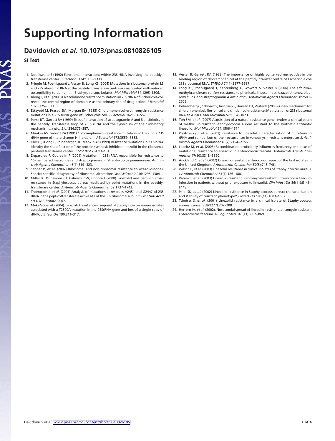# **Supporting Information**

## **Davidovich** *et al.* **10.1073/pnas.0810826105**

**SI Text**

S AL

- 1. Douthwaite S (1992) Functional interactions within 23S rRNA involving the peptidyltransferase center. *J Bacteriol* 174:1333–1338.
- 2. Pringle M, Poehlsgaard J, Vester B, Long KS (2004) Mutations in ribosomal protein L3 and 23S ribosomal RNA at the peptidyl transferase centre are associated with reduced susceptibility to tiamulin in Brachyspira spp. isolates. *Mol Microbiol* 54:1295–1306.
- 3. Xiong L, *et al*. (2000) Oxazolidinone resistance mutations in 23S rRNA of Escherichia coli reveal the central region of domain V as the primary site of drug action. *J Bacteriol* 182:5325–5331.
- 4. Ettayebi M, Prasad SM, Morgan EA (1985) Chloramphenicol-erythromycin resistance mutations in a 23S rRNA gene of Escherichia coli. *J Bacteriol* 162:551–557.
- 5. Porse BT, Garrett RA (1999) Sites of interaction of streptogramin A and B antibiotics in the peptidyl transferase loop of 23 S rRNA and the synergism of their inhibitory mechanisms. *J Mol Biol* 286:375–387.
- 6. Mankin AS, Garrett RA (1991) Chloramphenicol resistance mutations in the single 23S rRNA gene of the archaeon H. halobium. *J Bacteriol* 173:3559–3563.
- 7. Kloss P, Xiong L, Shinabarger DL, Mankin AS (1999) Resistance mutations in 23 S rRNA identify the site of action of the protein synthesis inhibitor linezolid in the ribosomal peptidyl transferase center. *J Mol Biol* 294:93–101.
- 8. Depardieu F, Courvalin P (2001) Mutation in 23S rRNA responsible for resistance to 16-membered macrolides and streptogramins in Streptococcus pneumoniae. *Antimicrob Agents Chemother* 45(1):319–323.
- 9. Sander P, *et al.* (2002) Ribosomal and non-ribosomal resistance to oxazolidinones: Species-specific idiosyncrasy of ribosomal alterations. *Mol Microbiol* 46:1295–1304.
- 10. Miller K, Dunsmore CJ, Fishwick CW, Chopra I (2008) Linezolid and tiamulin crossresistance in Staphylococcus aureus mediated by point mutations in the peptidyl transferase center. *Antimicrob Agents Chemother* 52:1737–1742.
- 11. Thompson J, *et al*. (2001) Analysis of mutations at residues A2451 and G2447 of 23S rRNA in the peptidyltransferase active site of the 50S ribosomal subunit. *Proc Natl Acad Sci USA* 98:9002–9007.
- 12. Meka VG, *et al.*(2004). Linezolid resistance in sequential Staphylococcus aureus isolates associated with a T2500A mutation in the 23SrRNA gene and loss of a single copy of rRNA. *J Infect Dis* 190:311–317.
- 13. Vester B, Garrett RA (1988) The importance of highly conserved nucleotides in the binding region of chloramphenicol at the peptidyl transfer centre of Escherichia coli 23S ribosomal RNA. *EMBO J* 7(11):3577–3587.
- 14. Long KS, Poehlsgaard J, Kehrenberg C, Schwarz S, Vester B (2006) The Cfr rRNA methyltransferase confers resistance to phenicols, lincosamides, oxazolidinones, pleuromutilins, and streptogramin A antibiotics. *Antimicrob Agents Chemother* 50:2500– 2505.
- 15. Kehrenberg C, Schwarz S, Jacobsen L, Hansen LH, Vester B (2005) A new mechanism for chloramphenicol, florfenicol and clindamycin resistance: Methylation of 23S ribosomal RNA at A2503. *Mol Microbiol* 57:1064–1073.
- 16. Toh SM, *et al.* (2007) Acquisition of a natural resistance gene renders a clinical strain of methicillin-resistant Staphylococcus aureus resistant to the synthetic antibiotic linezolid. *Mol Microbiol* 64:1506–1514.
- 17. Prystowsky J, *et al.* (2001) Resistance to linezolid: Characterization of mutations in rRNA and comparison of their occurrences in vancomycin-resistant enterococci. *Antimicrob Agents Chemother* 45(7):2154–2156.
- 18. Lobritz M, *et al.* (2003) Recombination proficiency influences frequency and locus of mutational resistance to linezolid in Enterococcus faecalis. *Antimicrob Agents Chemother* 47(10):3318–3320.
- 19. Auckland C, *et al.* (2002) Linezolid-resistant enterococci: report of the first isolates in the United Kingdom. *J Antimicrob Chemother* 50(5):743–746.
- 20. Wilson P, *et al.* (2003) Linezolid resistance in clinical isolates of Staphylococcus aureus. *J Antimicrob Chemother* 51(1):186–188.
- 21. Rahim S, *et al.* (2003) Linezolid-resistant, vancomycin-resistant Enterococcus faecium infection in patients without prior exposure to linezolid. *Clin Infect Dis* 36(11):E146– E148.
- 22. Pillai SK, *et al.* (2002) Linezolid resistance in Staphylococcus aureus: characterization and stability of resistant phenotype'' *J Infect Dis* 186(11):1603–1607.
- 23. Tsiodras S, *et al.* (2001) Linezolid resistance in a clinical isolate of Staphylococcus aureus. *Lancet* 358(9277):207–208.
- 24. Herrero IA, *et al.* (2002). Nosocomial spread of linezolid-resistant, ancomycin-resistant Enterococcus faecium. *N Engl J Med* 346(11): 867–869.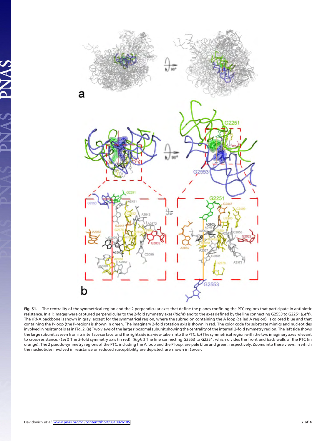

**Fig. S1.** The centrality of the symmetrical region and the 2 perpendicular axes that define the planes confining the PTC regions that participate in antibiotic resistance. In all: images were captured perpendicular to the 2-fold symmetry axes (*Right*) and to the axes defined by the line connecting G2553 to G2251 (*Left*). The rRNA backbone is shown in gray, except for the symmetrical region, where the subregion containing the A loop (called A region), is colored blue and that containing the P-loop (the P-region) is shown in green. The imaginary 2-fold rotation axis is shown in red. The color code for substrate mimics and nucleotides involved in resistance is as in Fig. 2. (*a*) Two views of the large ribosomal subunit showing the centrality of the internal 2-fold symmetry region. The left side shows the large subunit as seen from its interface surface, and the right side is a view taken into the PTC. (*b*) The symmetrical region with the two imaginary axes relevant to cross-resistance. (*Left*) The 2-fold symmetry axis (in red). (*Right*) The line connecting G2553 to G2251, which divides the front and back walls of the PTC (in orange). The 2 pseudo-symmetry regions of the PTC, including the A loop and the P loop, are pale blue and green, respectively. Zooms into these views, in which the nucleotides involved in resistance or reduced susceptibility are depicted, are shown in *Lower*.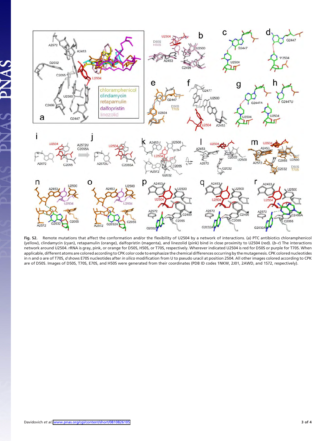

**Fig. S2.** Remote mutations that affect the conformation and/or the flexibility of U2504 by a network of interactions. (*a*) PTC antibiotics chloramphenicol (yellow), clindamycin (cyan), retapamulin (orange), dalfopristin (magenta), and linezolid (pink) bind in close proximity to U2504 (red). (*b*–*r*) The interactions network around U2504. rRNA is gray, pink, or orange for D50S, H50S, or T70S, respectively. Wherever indicated U2504 is red for D50S or purple for T70S. When applicable, different atoms are colored according to CPK color code to emphasize the chemical differences occurring by the mutagenesis. CPK colored nucleotides in n and o are of T70S, *d* shows E70S nucleotides after *in silico* modification from U to pseudo uracil at position 2504. All other images colored according to CPK are of D50S. Images of D50S, T70S, E70S, and H50S were generated from their coordinates (PDB ID codes 1NKW, 2J01, 2AWD, and 1S72, respectively).